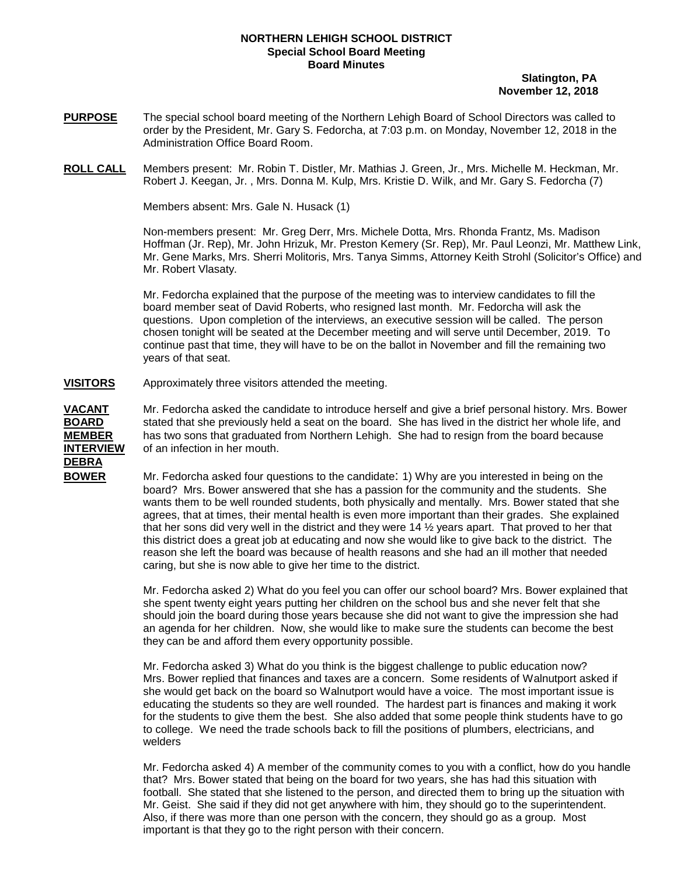## **NORTHERN LEHIGH SCHOOL DISTRICT Special School Board Meeting Board Minutes**

## **Slatington, PA November 12, 2018**

- **PURPOSE** The special school board meeting of the Northern Lehigh Board of School Directors was called to order by the President, Mr. Gary S. Fedorcha, at 7:03 p.m. on Monday, November 12, 2018 in the Administration Office Board Room.
- **ROLL CALL** Members present: Mr. Robin T. Distler, Mr. Mathias J. Green, Jr., Mrs. Michelle M. Heckman, Mr. Robert J. Keegan, Jr. , Mrs. Donna M. Kulp, Mrs. Kristie D. Wilk, and Mr. Gary S. Fedorcha (7)

Members absent: Mrs. Gale N. Husack (1)

Non-members present: Mr. Greg Derr, Mrs. Michele Dotta, Mrs. Rhonda Frantz, Ms. Madison Hoffman (Jr. Rep), Mr. John Hrizuk, Mr. Preston Kemery (Sr. Rep), Mr. Paul Leonzi, Mr. Matthew Link, Mr. Gene Marks, Mrs. Sherri Molitoris, Mrs. Tanya Simms, Attorney Keith Strohl (Solicitor's Office) and Mr. Robert Vlasaty.

 Mr. Fedorcha explained that the purpose of the meeting was to interview candidates to fill the board member seat of David Roberts, who resigned last month. Mr. Fedorcha will ask the questions. Upon completion of the interviews, an executive session will be called. The person chosen tonight will be seated at the December meeting and will serve until December, 2019. To continue past that time, they will have to be on the ballot in November and fill the remaining two years of that seat.

## **VISITORS** Approximately three visitors attended the meeting.

**DEBRA**

**VACANT** Mr. Fedorcha asked the candidate to introduce herself and give a brief personal history. Mrs. Bower **BOARD** stated that she previously held a seat on the board. She has lived in the district her whole life, and **MEMBER** has two sons that graduated from Northern Lehigh. She had to resign from the board because **INTERVIEW** of an infection in her mouth.

**BOWER** Mr. Fedorcha asked four questions to the candidate: 1) Why are you interested in being on the board? Mrs. Bower answered that she has a passion for the community and the students. She wants them to be well rounded students, both physically and mentally. Mrs. Bower stated that she agrees, that at times, their mental health is even more important than their grades. She explained that her sons did very well in the district and they were 14  $\frac{1}{2}$  years apart. That proved to her that this district does a great job at educating and now she would like to give back to the district. The reason she left the board was because of health reasons and she had an ill mother that needed caring, but she is now able to give her time to the district.

> Mr. Fedorcha asked 2) What do you feel you can offer our school board? Mrs. Bower explained that she spent twenty eight years putting her children on the school bus and she never felt that she should join the board during those years because she did not want to give the impression she had an agenda for her children. Now, she would like to make sure the students can become the best they can be and afford them every opportunity possible.

 Mr. Fedorcha asked 3) What do you think is the biggest challenge to public education now? Mrs. Bower replied that finances and taxes are a concern. Some residents of Walnutport asked if she would get back on the board so Walnutport would have a voice. The most important issue is educating the students so they are well rounded. The hardest part is finances and making it work for the students to give them the best. She also added that some people think students have to go to college. We need the trade schools back to fill the positions of plumbers, electricians, and welders

 Mr. Fedorcha asked 4) A member of the community comes to you with a conflict, how do you handle that? Mrs. Bower stated that being on the board for two years, she has had this situation with football. She stated that she listened to the person, and directed them to bring up the situation with Mr. Geist. She said if they did not get anywhere with him, they should go to the superintendent. Also, if there was more than one person with the concern, they should go as a group. Most important is that they go to the right person with their concern.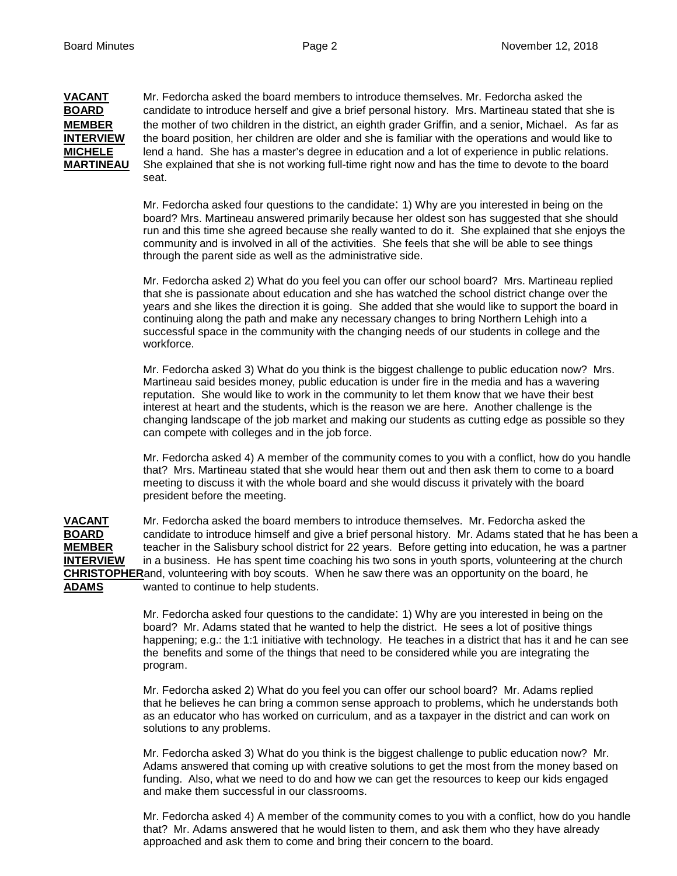**VACANT** Mr. Fedorcha asked the board members to introduce themselves. Mr. Fedorcha asked the **BOARD** candidate to introduce herself and give a brief personal history. Mrs. Martineau stated that candidate to introduce herself and give a brief personal history. Mrs. Martineau stated that she is **MEMBER** the mother of two children in the district, an eighth grader Griffin, and a senior, Michael. As far as **INTERVIEW** the board position, her children are older and she is familiar with the operations and would like to **MICHELE** lend a hand. She has a master's degree in education and a lot of experience in public relations. **MARTINEAU** She explained that she is not working full-time right now and has the time to devote to the board seat.

> Mr. Fedorcha asked four questions to the candidate: 1) Why are you interested in being on the board? Mrs. Martineau answered primarily because her oldest son has suggested that she should run and this time she agreed because she really wanted to do it. She explained that she enjoys the community and is involved in all of the activities. She feels that she will be able to see things through the parent side as well as the administrative side.

 Mr. Fedorcha asked 2) What do you feel you can offer our school board? Mrs. Martineau replied that she is passionate about education and she has watched the school district change over the years and she likes the direction it is going. She added that she would like to support the board in continuing along the path and make any necessary changes to bring Northern Lehigh into a successful space in the community with the changing needs of our students in college and the workforce.

 Mr. Fedorcha asked 3) What do you think is the biggest challenge to public education now? Mrs. Martineau said besides money, public education is under fire in the media and has a wavering reputation. She would like to work in the community to let them know that we have their best interest at heart and the students, which is the reason we are here. Another challenge is the changing landscape of the job market and making our students as cutting edge as possible so they can compete with colleges and in the job force.

 Mr. Fedorcha asked 4) A member of the community comes to you with a conflict, how do you handle that? Mrs. Martineau stated that she would hear them out and then ask them to come to a board meeting to discuss it with the whole board and she would discuss it privately with the board president before the meeting.

**VACANT** Mr. Fedorcha asked the board members to introduce themselves. Mr. Fedorcha asked the **BOARD** candidate to introduce himself and give a brief personal history. Mr. Adams stated that he has been a **MEMBER** teacher in the Salisbury school district for 22 years. Before getting into education, he was a partner **INTERVIEW** in a business. He has spent time coaching his two sons in youth sports, volunteering at the church **CHRISTOPHER**and, volunteering with boy scouts. When he saw there was an opportunity on the board, he **ADAMS** wanted to continue to help students.

> Mr. Fedorcha asked four questions to the candidate: 1) Why are you interested in being on the board? Mr. Adams stated that he wanted to help the district. He sees a lot of positive things happening; e.g.: the 1:1 initiative with technology. He teaches in a district that has it and he can see the benefits and some of the things that need to be considered while you are integrating the program.

 Mr. Fedorcha asked 2) What do you feel you can offer our school board? Mr. Adams replied that he believes he can bring a common sense approach to problems, which he understands both as an educator who has worked on curriculum, and as a taxpayer in the district and can work on solutions to any problems.

 Mr. Fedorcha asked 3) What do you think is the biggest challenge to public education now? Mr. Adams answered that coming up with creative solutions to get the most from the money based on funding. Also, what we need to do and how we can get the resources to keep our kids engaged and make them successful in our classrooms.

 Mr. Fedorcha asked 4) A member of the community comes to you with a conflict, how do you handle that? Mr. Adams answered that he would listen to them, and ask them who they have already approached and ask them to come and bring their concern to the board.